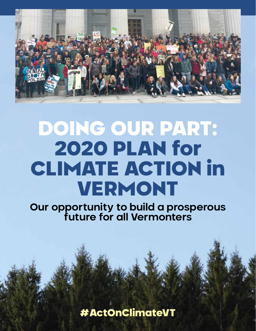

## DOING OUR PART: 2020 PLAN for CLIMATE ACTION in VERMONT

**Our opportunity to build a prosperous future for all Vermonters**

#ActOnClimateVT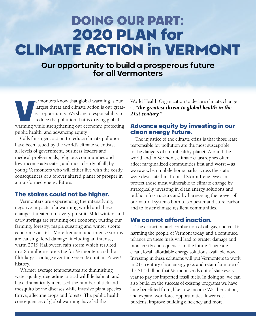## DOING OUR PART: 2020 PLAN for CLIMATE ACTION in VERMONT

**Our opportunity to build a prosperous future for all Vermonters**

ermonters know that global warming is our largest threat and climate action is our greatest opportunity. We share a responsibility to reduce the pollution that is driving global warming while strengthening our economy, pro largest threat and climate action is our greatest opportunity. We share a responsibility to reduce the pollution that is driving global warming while strengthening our economy, protecting public health, and advancing equity.

Calls for urgent action to reduce climate pollution have been issued by the world's climate scientists, all levels of government, business leaders and medical professionals, religious communities and low-income advocates, and most clearly of all, by young Vermonters who will either live with the costly consequences of a forever altered planet or prosper in a transformed energy future.

### The stakes could not be higher.

Vermonters are experiencing the intensifying, negative impacts of a warming world and these changes threaten our every pursuit. Mild winters and early springs are straining our economy, putting our farming, forestry, maple sugaring and winter sports economies at risk. More frequent and intense storms are causing flood damage, including an intense, warm 2019 Halloween rain storm which resulted in a \$5 million+ price tag for Vermonters and the fifth largest outage event in Green Mountain Power's history.

Warmer average temperatures are diminishing water quality, degrading critical wildlife habitat, and have dramatically increased the number of tick and mosquito borne diseases while invasive plant species thrive, affecting crops and forests. The public health consequences of global warming have led the

World Health Organization to declare climate change as *"the greatest threat to global health in the 21st century."*

### Advance equity by investing in our clean energy future.

The injustice of the climate crisis is that those least responsible for pollution are the most susceptible to the dangers of an unhealthy planet. Around the world and in Vermont, climate catastrophes often affect marginalized communities first and worst – as we saw when mobile home parks across the state were devastated in Tropical Storm Irene. We can protect those most vulnerable to climate change by strategically investing in clean energy solutions and public infrastructure and by harnessing the power of our natural systems both to sequester and store carbon and to foster climate resilient communities.

### We cannot afford inaction.

The extraction and combustion of oil, gas, and coal is harming the people of Vermont today, and a continued reliance on these fuels will lead to greater damage and more costly consequences in the future. There are clean, local, affordable energy solutions available now. Investing in these solutions will put Vermonters to work in 21st century clean energy jobs and retain far more of the \$1.5 billion that Vermont sends out of state every year to pay for imported fossil fuels. In doing so, we can also build on the success of existing programs we have long benefitted from, like Low Income Weatherization, and expand workforce opportunities, lower cost burdens, improve building efficiency and more.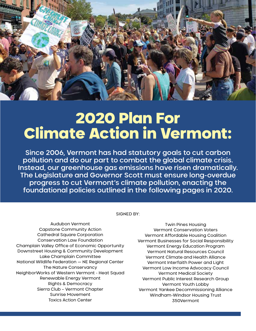

## 2020 Plan For Climate Action in Vermont:

Since 2006, Vermont has had statutory goals to cut carbon pollution and do our part to combat the global climate crisis. Instead, our greenhouse gas emissions have risen dramatically. The Legislature and Governor Scott must ensure long-overdue progress to cut Vermont's climate pollution, enacting the foundational policies outlined in the following pages in 2020.

SIGNED BY:

Audubon Vermont Capstone Community Action Cathedral Square Corporation Conservation Law Foundation Champlain Valley Office of Economic Opportunity Downstreet Housing & Community Development Lake Champlain Committee National Wildlife Federation — NE Regional Center The Nature Conservancy NeighborWorks of Western Vermont - Heat Squad Renewable Energy Vermont Rights & Democracy Sierra Club – Vermont Chapter Sunrise Movement Toxics Action Center

Twin Pines Housing Vermont Conservation Voters Vermont Affordable Housing Coalition Vermont Businesses for Social Responsibility Vermont Energy Education Program Vermont Natural Resources Council Vermont Climate and Health Alliance Vermont Interfaith Power and Light Vermont Low Income Advocacy Council Vermont Medical Society Vermont Public Interest Research Group Vermont Youth Lobby Vermont Yankee Decommissioning Alliance Windham-Windsor Housing Trust 350Vermont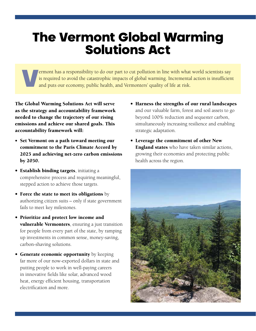## The Vermont Global Warming<br>Solutions Act

Fermont has a responsibility to do our part to cut pollution in line with what world scientists say is required to avoid the catastrophic impacts of global warming. Incremental action is insufficien and puts our economy, p is required to avoid the catastrophic impacts of global warming. Incremental action is insufficient and puts our economy, public health, and Vermonters' quality of life at risk.

The Global Warming Solutions Act will serve as the strategy and accountability framework needed to change the trajectory of our rising emissions and achieve our shared goals. This accountability framework will:

- Set Vermont on a path toward meeting our commitment to the Paris Climate Accord by 2025 and achieving net-zero carbon emissions by 2050.
- Establish binding targets, initiating a comprehensive process and requiring meaningful, stepped action to achieve those targets.
- Force the state to meet its obligations by authorizing citizen suits – only if state government fails to meet key milestones.
- Prioritize and protect low income and vulnerable Vermonters, ensuring a just transition for people from every part of the state, by ramping up investments in common sense, money-saving, carbon-shaving solutions.
- Generate economic opportunity by keeping far more of our now-exported dollars in state and putting people to work in well-paying careers in innovative fields like solar, advanced wood heat, energy efficient housing, transportation electrification and more.
- Harness the strengths of our rural landscapes and our valuable farm, forest and soil assets to go beyond 100% reduction and sequester carbon, simultaneously increasing resilience and enabling strategic adaptation.
- Leverage the commitment of other New **England states** who have taken similar actions, growing their economies and protecting public health across the region.

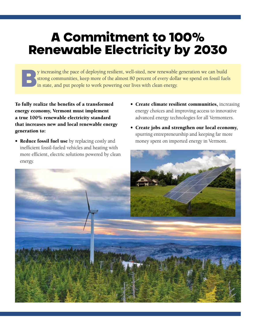### A Commitment to 100% Renewable Electricity by 2030

y increasing the pace of deploying resilient, well-sited, new renewable generation we can build<br>strong communities, keep more of the almost 80 percent of every dollar we spend on fossil fuel<br>in state, and put people to wor strong communities, keep more of the almost 80 percent of every dollar we spend on fossil fuels in state, and put people to work powering our lives with clean energy.

To fully realize the benefits of a transformed energy economy, Vermont must implement a true 100% renewable electricity standard that increases new and local renewable energy generation to:

- **Reduce fossil fuel use** by replacing costly and inefficient fossil-fueled vehicles and heating with more efficient, electric solutions powered by clean energy.
- Create climate resilient communities, increasing energy choices and improving access to innovative advanced energy technologies for all Vermonters.
- Create jobs and strengthen our local economy, spurring entrepreneurship and keeping far more money spent on imported energy in Vermont.

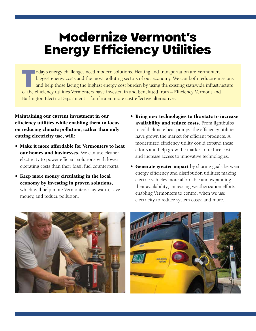### Modernize Vermont's Energy Efficiency Utilities

Today's energy challenges need modern solutions. Heating and transportation are Vermonters' biggest energy costs and the most polluting sectors of our economy. We can both reduce emissions and help those facing the highest energy cost burden by using the existing statewide infrastructure of the efficiency utilities Vermonters have invested in and benefitted from – Efficiency Vermont and Burlington Electric Department – for cleaner, more cost-effective alternatives.

Maintaining our current investment in our efficiency utilities while enabling them to focus on reducing climate pollution, rather than only cutting electricity use, will:

- Make it more affordable for Vermonters to heat our homes and businesses. We can use cleaner electricity to power efficient solutions with lower operating costs than their fossil fuel counterparts.
- Keep more money circulating in the local economy by investing in proven solutions, which will help more Vermonters stay warm, save money, and reduce pollution.
- Bring new technologies to the state to increase availability and reduce costs. From lightbulbs to cold climate heat pumps, the efficiency utilities have grown the market for efficient products. A modernized efficiency utility could expand these efforts and help grow the market to reduce costs and increase access to innovative technologies.
- Generate greater impact by sharing goals between energy efficiency and distribution utilities; making electric vehicles more affordable and expanding their availability; increasing weatherization efforts; enabling Vermonters to control when we use electricity to reduce system costs; and more.



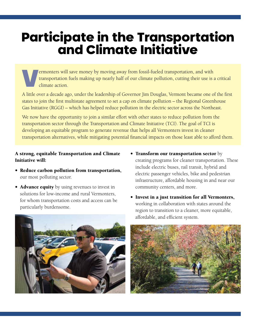# Participate in the Transportation and Climate Initiative

Vermonters will save money by moving away from fossil-fueled transportation, and with transportation fuels making up nearly half of our climate pollution, cutting their use is a critical climate action.

A little over a decade ago, under the leadership of Governor Jim Douglas, Vermont became one of the first states to join the first multistate agreement to set a cap on climate pollution – the Regional Greenhouse Gas Initiative (RGGI) – which has helped reduce pollution in the electric sector across the Northeast.

We now have the opportunity to join a similar effort with other states to reduce pollution from the transportation sector through the Transportation and Climate Initiative (TCI). The goal of TCI is developing an equitable program to generate revenue that helps all Vermonters invest in cleaner transportation alternatives, while mitigating potential financial impacts on those least able to afford them.

#### A strong, equitable Transportation and Climate Initiative will:

- Reduce carbon pollution from transportation, our most polluting sector.
- **Advance equity** by using revenues to invest in solutions for low-income and rural Vermonters, for whom transportation costs and access can be particularly burdensome.



- Transform our transportation sector by creating programs for cleaner transportation. These include electric buses, rail transit, hybrid and electric passenger vehicles, bike and pedestrian infrastructure, affordable housing in and near our community centers, and more.
- Invest in a just transition for all Vermonters, working in collaboration with states around the region to transition to a cleaner, more equitable, affordable, and efficient system.